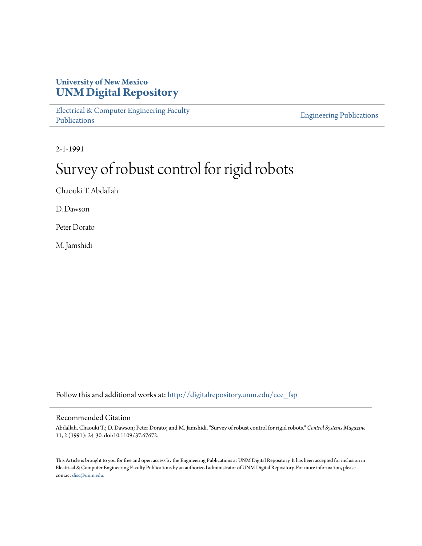### **University of New Mexico [UNM Digital Repository](http://digitalrepository.unm.edu?utm_source=digitalrepository.unm.edu%2Fece_fsp%2F86&utm_medium=PDF&utm_campaign=PDFCoverPages)**

[Electrical & Computer Engineering Faculty](http://digitalrepository.unm.edu/ece_fsp?utm_source=digitalrepository.unm.edu%2Fece_fsp%2F86&utm_medium=PDF&utm_campaign=PDFCoverPages) [Publications](http://digitalrepository.unm.edu/ece_fsp?utm_source=digitalrepository.unm.edu%2Fece_fsp%2F86&utm_medium=PDF&utm_campaign=PDFCoverPages)

[Engineering Publications](http://digitalrepository.unm.edu/eng_fsp?utm_source=digitalrepository.unm.edu%2Fece_fsp%2F86&utm_medium=PDF&utm_campaign=PDFCoverPages)

2-1-1991

# Survey of robust control for rigid robots

Chaouki T. Abdallah

D. Dawson

Peter Dorato

M. Jamshidi

Follow this and additional works at: [http://digitalrepository.unm.edu/ece\\_fsp](http://digitalrepository.unm.edu/ece_fsp?utm_source=digitalrepository.unm.edu%2Fece_fsp%2F86&utm_medium=PDF&utm_campaign=PDFCoverPages)

#### Recommended Citation

Abdallah, Chaouki T.; D. Dawson; Peter Dorato; and M. Jamshidi. "Survey of robust control for rigid robots." *Control Systems Magazine* 11, 2 (1991): 24-30. doi:10.1109/37.67672.

This Article is brought to you for free and open access by the Engineering Publications at UNM Digital Repository. It has been accepted for inclusion in Electrical & Computer Engineering Faculty Publications by an authorized administrator of UNM Digital Repository. For more information, please contact [disc@unm.edu.](mailto:disc@unm.edu)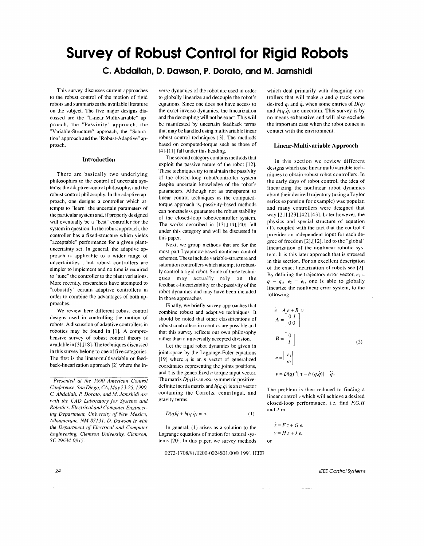## **Survey of Robust Control for Rigid Robots**

**c. Abdallah, D. Dawson, P. Dorato, and M. Jamshidi** 

This survey discusses current approaches to the robust control of the motion of rigid robots and summarizes the available literature on the subject. The five major designs discussed are the "Linear-Multivariable" approach, the "Passivity" approach, the "Variable-Structure" approach, the "Saturation" approach and the "Robust-Adaptive" approach.

#### **Introduction**

There are basically two underlying philosophies to the control of uncertain systems: the adaptive control philosophy, and the robust control philosophy. In the adaptive approach, one designs a controller which attempts to "learn" the uncertain parameters of the particular system and, if properly designed will eventually be a "best" controller for the system in question. In the robust approach, the controller has a fixed-structure which yields "acceptable" performance for a given plantuncertainty set. In general, the adaptive approach is applicable to a wider range of uncertainties , but robust controllers are simpler to implement and no time is required to "tune" the controller to the plant variations. More recently, researchers have attempted to "robustify" certain adaptive controllers in order to combine the advantages of both approaches.

We review here different robust control designs used in controlling the motion of robots. A discussion of adaptive controllers in robotics may be found in [I]. A comprehensive survey of robust control theory is available in [3],[18]. The techniques discussed in this survey belong to one of five categories. The first is the linear-multivariable or feedback-linearization approach [2] where the in-

verse dynamics of the robot are used in order to globally linearize and decouple the robot's equations. Since one does not have access to the exact inverse dynamics, the linearization and the decoupling will not be exact. This will be manifested by uncertain feedback terms that may be handled using multi variable linear robust control techniques [3]. The methods based on computed-torque such as those of [4]-[11] fall under this heading.

The second category contains methods that exploit the passive nature of the robot [12]. These techniques try to maintain the passivity of the closed-loop robot/controller system despite uncertain knowledge of the robot's parameters. Although not as transparent to linear control techniques as the computedtorque approach is, passivity-based methods can nonetheless guarantee the robust stability of the closed-loop robot/controller system. The works described in [13],[14],[40] fall under this category and will be discussed in this paper.

Next, we group methods that are for the most part Lyapunov-based nonlinear control schemes. These include variable-structure and saturation controllers which attempt to robustly control a rigid robot. Some of these techniques may actually rely on the feedback-linearizability or the passivity of the robot dynamics and may have been included in those approaches.

Finally, we briefly survey approaches that combine robust and adaptive techniques. It should be noted that other classifications of robust controllers in robotics are possible and that this survey reflects our own philosophy rather than a universally accepted division.

Let the rigid robot dynamics be given in joint-space by the Lagrange-Euler equations [19] where q is an *n* vector of generalized coordinates representing the joints positions, and  $\tau$  is the generalized *n* torque input vector. The matrix  $D(q)$  is an  $n \times n$  symmetric positivedefinite inertia matrix and  $h(q,q)$  is an *n* vector containing the Coriolis, centrifugal, and gravity terms.

$$
D(q)\ddot{q} + h(q,\dot{q}) = \tau.
$$
 (1)

In general, (I) arises as a solution to the Lagrange equations of motion for natural systems [20J. In this paper, we survey methods

0272-1708/Y 1 /0200-0024\$0 I.OO© 1991 IEEE

which deal primarily with designing controllers that will make *q* and *q* track some desired  $q_d$  and  $\dot{q}_d$  when some entries of  $D(q)$ and  $h(q,q)$  are uncertain. This survey is by no means exhaustive and will also exclude the important case when the robot comes in contact with the environment.

#### **Linear-Multivariable Approach**

In this section we review different designs which use linear multivariable techniques to obtain robust robot controllers. In the early days of robot control, the idea of linearizing the nonlinear robot dynamics about their desired trajectory (using a Taylor series expansion for example) was popular, and many controllers were designed that way [21],[23],[42],[43]. Later however, the physics and special structure of equation (1), coupled with the fact that the control  $\tau$ provides an independent input for each degree of freedom [2],[ 12], led to the" global" linearization of the nonlinear robotic system. It is this later approach that is stressed in this section. For an excellent description of the exact linearization of robots see [2]. By defining the trajectory error vector,  $e_1 =$  $q - q_{\phi}$   $e_2 = \dot{e}_1$ , one is able to globally linearize the nonlinear error system, to the following:

$$
\dot{e} = A e + B v
$$
  
\n
$$
A = \begin{bmatrix} 0 & I \\ 0 & 0 \end{bmatrix}
$$
  
\n
$$
B = \begin{bmatrix} 0 \\ I \end{bmatrix}
$$
  
\n
$$
e = \begin{bmatrix} e_1 \\ e_2 \end{bmatrix}
$$
  
\n
$$
Q = \begin{bmatrix} 0 & 0 \\ 0 & 0 \end{bmatrix}
$$
  
\n
$$
Q = \begin{bmatrix} 0 & 0 \\ 0 & 0 \end{bmatrix}
$$

 $v = D(q)^{-1} [\tau - h(q, \dot{q})] - \ddot{q}_d$ 

The problem is then reduced to finding a linear control v which will achieve a desired closed-loop performance, i.e. find  $F, G, H$ and J in

$$
\dot{z} = F z + G e,
$$
  
\n
$$
v = H z + J e,
$$
  
\nor

IEEE Control Systems

*Presented at the* 1990 *American Control Conference, San Diego, CA, May* 23-25,1990. C. *Abdallah, P. Dorato, and* M. *Jamshidi are with the CAD Laboratory for Systems and Robotics, Electrical and Computer Engineering Department, University of New Mexico, Albuquerque, NM* 87131. D. *Dawson is with the Department of Electrical and Computer Engineering, Clemson University, Clemson,*  SC 29634-0915.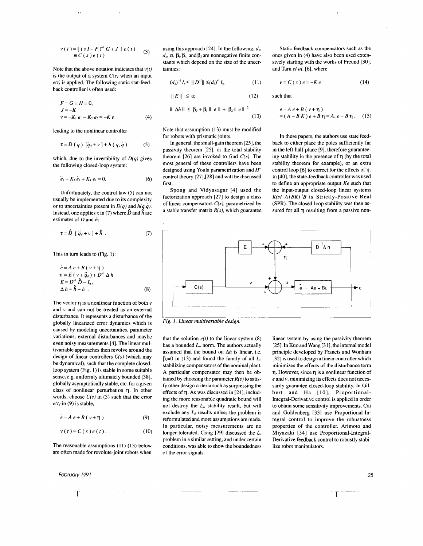$$
v(t) = [(sI - F)^{-1}G + J]e(t)
$$
  
 
$$
\equiv C(s)e(t)
$$
 (3)

Note that the above notation indicates that  $v(t)$ is the output of a system  $C(s)$  when an input  $e(t)$  is applied. The following static stat-feedback controller is often used:

$$
F = G = H = 0,J = -K\nu = -K1 e1 - K2 e2 \equiv -K e
$$
 (4)

leading to the nonlinear controller

$$
\mathfrak{r} = D(q) \, [\dot{q}_d + v] + h(q, \dot{q}) \tag{5}
$$

which, due to the invertibility of  $D(q)$  gives the following closed-loop system:

$$
\ddot{e}_1 + K_2 \dot{e}_1 + K_1 e_1 = 0.
$$

(6)

(7)

Unfortunately, the control law (S) can not usually be implemented due to its complexity or to uncertainties present in  $D(q)$  and  $h(q,q)$ . Instead, one applies  $\tau$  in (7) where  $\hat{D}$  and  $\hat{h}$  are estimates of *D* and *h:* 

$$
\tau = \hat{D} \left[ \ddot{q}_d + v \right] + \hat{h} \ .
$$

This in tum leads to (Fig. I):

$$
\dot{e} = A e + B (v + \eta) \n\eta = E (v + \ddot{q}_d) + D^{-1} \Delta h \nE = D^{-1} \hat{D} - I_n, \n\Delta h = \hat{h} - h .
$$
\n(8)

The vector  $\eta$  is a nonlinear function of both  $e$ and v and can not be treated as an external disturbance. It represents a disturbance of the globally linearized error dynamics which is caused by modeling uncertainties, parameter variations, external disturbances and maybe even noisy measurements [4]. The linear multivariable approaches then revolve around the design of linear controllers  $C(s)$  (which may be dynamical), such that the complete closedloop system (Fig. 1) is stable in some suitable sense, e.g. uniformly ultimately bounded [38], globally asymptotically stable, etc. for a given class of nonlinear perturbation  $\eta$ . In other words, choose  $C(s)$  in (3) such that the error  $e(t)$  in (9) is stable,

$$
\dot{e} = A e + B (v + \eta) \tag{9}
$$

$$
v(t) = C(s) e(t).
$$
 (10)

The reasonable assumptions (11)-(13) below are often made for revolute-joint robots when

February 1991

T

using this approach [24]. In the following,  $d_1$ ,  $d_2$ ,  $\alpha$ ,  $\beta_0$ ,  $\beta_1$ , and  $\beta_2$  are nonnegative finite constants which depend on the size of the uncertainties:

$$
d_2)^{-1} I_n \leq ||D^{-1}|| \leq (d_1)^{-1} I_n. \tag{11}
$$

$$
\|E\| \le \alpha \tag{12}
$$

$$
\|\Delta h\| \leq \beta_0 + \beta_1 \|\, e\| + \beta_2 \|\, e\|^{-2} \tag{13}
$$

Note that assumption (13) must be modified for robots with prismatic joints.

In general, the small-gain theorem [2S], the passivity theorem [2S], or the total stability theorem [26] are invoked to find  $C(s)$ . The most general of these controllers have been designed using Youla parametrization and *H*<sup>\*</sup> control theory [27],[28] and will be discussed first.

Spong and Vidyasagar [4] used the factorization approach [27] to design a class of linear compensators  $C(s)$ , parametrized by a stable transfer matrix  $R(s)$ , which guarantee

Static feedback compensators such as the ones given in (4) have also been used extensively starting with the works of Freund [30], and Tam *et al.* [6], where

$$
v = C(s) e = -Ke \tag{14}
$$

such that

$$
\dot{e} = A e + B (v + \eta) \n= (A - B K) e + B \eta = A_c e + B \eta.
$$
 (15)

In these papers, the authors use state feedback to either place the poles sufficiently far in the left-half-plane [9], therefore guaranteeing stability in the presence of  $\eta$  (by the total stability theorem for example), or an extra control loop  $[6]$  to correct for the effects of  $\eta$ . In [40], the state-feedback controller was used to define an appropriate output *Ke* such that the input-output closed-loop linear systems  $K(sI-A+BK)^{-1}B$  is Strictly-Positive-Real (SPR). The closed-loop stability was then assured for all  $\eta$  resulting from a passive non-





that the solution  $e(t)$  to the linear system  $(8)$ has a bounded  $L_{\infty}$  norm. The authors actually assumed that the bound on  $\Delta h$  is linear, i.e.  $\beta_2=0$  in (13) and found the family of all  $L_{\infty}$ stabilizing compensators of the nominal plant. A particular compensator may then be obtained by choosing the parameter  $R(s)$  to satisfy other design criteria such as surpressing the effects of  $\eta$ . As was discussed in [24], including the more reasonable quadratic bound will not destroy the  $L_{\infty}$  stability result, but will exclude any  $L_2$  results unless the problem is reformulated and more assumptions are made. In particular, noisy measurements are no longer tolerated. Craig [29] discussed the *L2*  problem in a similar setting, and under certain conditions, was able to show the boundedness of the error signals.

linear system by using the passivity theorem [2S]. In Kuo and Wang [31], the internal model principle developed by Francis and Wonham [32] is used to design a linear controller which minimizes the effects of the disturbance term  $\eta$ . However, since  $\eta$  is a nonlinear function of *e* and v, minimizing its effects does not necessarily guarantee closed-loop stability. In Gilbert and Ha [10], Proportional-Integral-Derivative control is applied in order to obtain some sensitivity improvements. Cai and Goldenberg [33] use Proportional-Integral control to improve the robustness properties of the controller. Arimoto and Miyazaki [34] use Proportional-Integral-Derivative feedback control to robustly stabilize robot manipulators.

r

25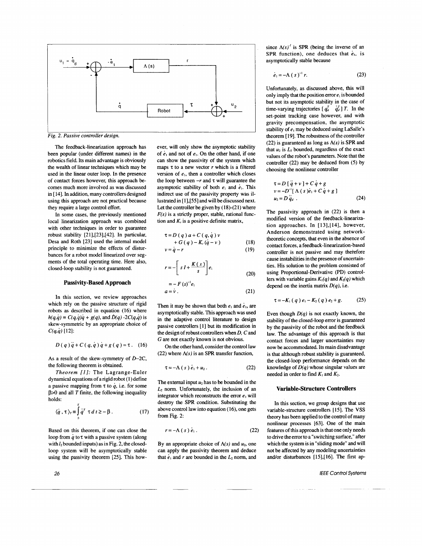

#### *Fig.* 2. *Passive controller design.*

The feedback-linearization approach has been popular (under different names) in the robotics field. Its main advantage is obviously the wealth of linear techniques which may be used in the linear outer loop. In the presence of contact forces however, this approach becomes much more involved as was discussed in  $[14]$ . In addition, many controllers designed using this approach are not practical because they require a large control effort.

In some cases, the previously mentioned local linearization approach was combined with other techniques in order to guarantee robust stability [21],[23],[42]. In particular, Desa and Roth [23] used the internal model principle to minimize the effects of disturbances for a robot model linearized over segments of the total operating time. Here also, closed-loop stability is not guaranteed.

#### **Passivity-Based Approach**

In this section, we review approaches which rely on the passive structure of rigid robots as described in equation (16) where  $h(q,q) = C(q,q)q + g(q)$ , and  $D(q) - 2C(q,q)$  is skew-symmetric by an appropriate choice of *C(q,q) [12]:* 

$$
D(q)\ddot{q}+C(q,\dot{q})\dot{q}+g(q)=\tau.
$$
 (16)

As a resuit of the skew-symmetry of *D-2C,*  the following theorem is obtained.

*Theorem* [1 J: The Lagrange-Euler dynamical equations of a rigid robot (1) define a passive mapping from  $\tau$  to  $\dot{q}$ , i.e. for some  $\beta$ >0 and all T finite, the following inequality holds:

$$
\langle \dot{q}, \tau \rangle_{\tau} \equiv \int_{0}^{T} \dot{q}^{\tau} \tau dt \geq -\beta. \qquad (17)
$$

Based on this theorem, if one can close the loop from  $\dot{q}$  to  $\tau$  with a passive system (along with *12* bounded inputs) as in Fig. 2, the closedloop system will be asymptotically stable using the passivity theorem [25]. This howof *e,* and not of *e,.* On the other hand, if one can show the passivity of the system which maps  $\tau$  to a new vector  $r$  which is a filtered version of  $e_1$ , then a controller which closes the loop between  $-r$  and  $\tau$  will guarantee the asymptotic stability of both  $e_i$  and  $\dot{e}_i$ . This indirect use of the passivity property was illustratedin [1],[55] and will be discussed next. Let the controller be given by (18)-(21) where  $F(s)$  is a strictly proper, stable, rational function and  $K<sub>r</sub>$  is a positive definite matrix,

ever, will only show the asymptotic stability

$$
\tau = D(q) a + C(q, \dot{q}) v
$$
  
+ G(q) - K, (q - v) \t\t(18)

(19)

$$
v=\dot{q}-r
$$

$$
r = -\left[s I + \frac{K(s)}{s}\right]e_1\tag{20}
$$

$$
= - F(s)^{-1} e_1
$$
  
\n
$$
a = \dot{v}.
$$
 (21)

Then it may be shown that both  $e_1$  and  $e_1$ , are asymptotically stable. This approach was used in the adaptive control literature to design passive controllers [I] but its modification in the design of robust controllers when D, C and G are not exactly known is not obvious.

On the other hand, consider the control law (22) where  $\Lambda(s)$  is an SPR transfer function,

$$
\tau = -\Lambda(s) \dot{e}_1 + u_2. \tag{22}
$$

The external input  $u_2$  has to be bounded in the  $L<sub>2</sub>$  norm. Unfortunately, the inclusion of an integrator which reconstructs the error *e,* will destroy the SPR condition. Substituting the above control law into equation (16), one gets from Fig. 2:

$$
r = -\Lambda (s) \dot{e}_1. \tag{22}
$$

By an appropriate choice of  $\Lambda(s)$  and  $u_2$ , one can apply the passivity theorem and deduce that  $\dot{e}_1$  and r are bounded in the  $L_2$  norm, and since  $A(s)^{t}$  is SPR (being the inverse of an SPR function), one deduces that  $e_1$ , is asymptotically stable because

$$
\dot{\boldsymbol{e}}_1 = -\boldsymbol{\Lambda} \left( \boldsymbol{s} \right)^{-1} \boldsymbol{r}.\tag{23}
$$

Unfortunately, as discussed above, this will only imply that the position error *e,* is bounded but not its asymptotic stability in the case of time-varying trajectories  $\begin{bmatrix} q_d^T & q_d^T \end{bmatrix} T$ . In the set-point tracking case however, and with gravity precompensation, the asymptotic stability of *e,* may be deduced using LaSalle's theorem [19]. The robustness of the controller (22) is guaranteed as long as *A(s)* is SPR and that  $u_2$  is  $L_2$  bounded, regardless of the exact values of the robot's parameters. Note that the controller (22) may be deduced from (5) by choosing the nonlinear controller

$$
\tau = D [\dot{q} + v] + C \dot{q} + g
$$
  
\n
$$
v = -D^{-1} [\Lambda (s) \dot{e}_1 + C \dot{q} + g]
$$
  
\n
$$
u_2 = D \dot{q}_d .
$$
\n(24)

The passivity approach in (22) is then a modified version of the feedback-linearization approaches. In [13],[ 14], however, Anderson demonstrated using networktheoretic concepts, that even in the absence of contact forces, a feedback-linearization-based controller is not passive and may therefore cause instabilities in the presence of uncertainties. His solution to the problem consisted of using Proportional-Derivative (PD) controllers with variable gains  $K_1(q)$  and  $K_2(q)$  which depend on the inertia matrix  $D(q)$ , i.e.

$$
\tau = -K_1(q) e_1 - K_2(q) e_2 + g. \qquad (25)
$$

Even though  $D(q)$  is not exactly known, the stability of the closed-loop error is guaranteed by the passivity of the robot and the feedback law. The advantage of this approach is that contact forces and larger uncertainties may now be accommodated. Its main disadvantage is that although robust stability is guaranteed, the closed-loop performance depends on the knowledge of *D(q)* whose singular values are needed in order to find  $K_1$  and  $K_2$ .

#### **Variable-Structure Controllers**

In this section, we group designs that use variable-structure controllers [15]. The VSS theory has been applied to the control of many nonlinear processes [63]. One of the main features of this approach is that one only needs to drive the error to a" switching surface," after which the system is in "sliding mode" and will not be affected by any modeling uncertainties and/or disturbances [15],[16]. The first ap-

#### IEEE Control Systems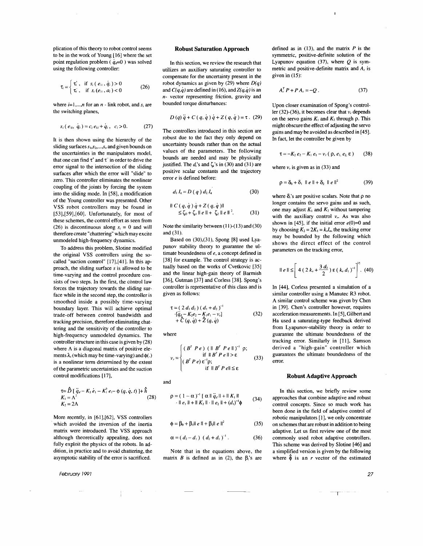plication of this theory to robot control seems to be in the work of Young [16] where the set point regulation problem ( $\dot{q}_d$ =0) was solved using the following controller:

$$
\tau_i = \begin{cases} \tau_i^+, & \text{if } s_i \left( e_{1i}, \dot{q}_i \right) > 0 \\ \tau_i^-, & \text{if } s_i \left( e_{1i}, a_i \right) < 0 \end{cases}
$$
 (26)

where  $i=1,...,n$  for an n - link robot, and  $s_i$  are the switching planes,

$$
s_i(e_{1i}, q_i) = c_i e_{1i} + q_i, \quad c_i > 0. \tag{27}
$$

It is then shown using the hierarchy of the sliding surfaces  $s_1, s_2, \ldots, s_n$  and given bounds on the uncertainties in the manipulators model, that one can find  $\tau^*$  and  $\tau^-$  in order to drive the error signal to the intersection of the sliding surfaces after which the error will "slide" to zero. This controller eliminates the nonlinear coupling of the joints by forcing the system into the sliding mode. In [58], a modification of the Young controller was presented. Other VSS robot controllers may be found in [53],[59],[60]. Unfortunately, for most of these schemes, the control effort as seen from (26) is discontinuous along  $s_i = 0$  and will therefore create" chattering" which may excite unmodeled high-frequency dynamics.

To address this problem, Slotine modified the original VSS controllers using the socalled "suction control" [17],[41]. In this approach, the sliding surface s is allowed to be time-varying and the control procedure consists of two steps. In the first, the control law forces the trajectory towards the sliding surface while in the second step, the controller is smoothed inside a possibly time-varying boundary layer. This will achieve optimal trade-off between control bandwidth and tracking precision, therefore eliminating chattering and the sensitivity of the controller to high-frequency unmodeled dynamics. The controller structure in this case is given by (28) where  $\Lambda$  is a diagonal matrix of positive elements  $\lambda_i$  (which may be time-varying) and  $\phi(.)$ is a nonlinear term determined by the extent of the parametric uncertainties and the suction control modifications [17],

$$
\begin{aligned} &\tau = \hat{D} \left[ \ddot{q}_d - K_2 \dot{e}_1 - K_1^2 e_1 - \phi \left( q, \dot{q}, t \right) \right] + \hat{h} \\ & K_1 = \Lambda^2 \\ & K_2 = 2\Lambda \end{aligned} \tag{28}
$$

More recently, in [61],[62], VSS controllers which avoided the inversion of the inertia matrix were introduced. The VSS approach although theoretically appealing, does not fully exploit the physics of the robots. In addition, in practice and to avoid chattering, the asymptotic stability of the error is sacrificed.

February 1991

#### **Robust Saturation Approach**

In this section, we review the research that utilizes an auxiliary saturating controller to compensate for the uncertainty present in the robot dynamics as given by (29) where  $D(q)$ and  $C(q,q)$  are defined in (16), and  $Z(q,q)$  is an n- vector representing friction, gravity and bounded torque disturbances:

$$
D(q)\ddot{q} + C(q, \dot{q})\dot{q} + Z(q, \dot{q}) = \tau. (29)
$$

The controllers introduced in this section are robust due to the fact they only depend on uncertainty bounds rather than on the actual values of the parameters. The following bounds are needed and may be physically justified. The  $d_i$ 's and  $\zeta_i$ 's in (30) and (31) are positive scalar constants and the trajectory error *e* is defined before:

$$
d_1 I_n = D(q) d_2 I_n \tag{30}
$$

$$
|| C (q, \dot{q}) \dot{q} + Z (q, \dot{q}) ||
$$
  
\$\leq \zeta\_0 + \zeta\_1 || e || + \zeta\_2 || e ||^2\$. (31)

Note the similarity between (11)-(13) and (30) and (31).

Based on (30),(31), Spong [8] used Lyapunov stability theory to guarantee the ultimate boundedness of *e,* a concept defined in [38] for example. The control strategy is actually based on the works of Cvetkovic [35] and the linear high-gain theory of Barmish [36], Gutman [37] and Corless [38]. Spong's controller is representative of this class and is given as follows:

$$
\tau = (2 d_1 d_2) (d_1 + d_2)^{-1}\n [q_a - K_2 e_2 - K_1 e_1 - v_r]\n+ \hat{C} (q, q) + \hat{Z} (q, q)
$$
\n(32)

where

$$
v_r = \begin{cases} (B^T P e) (||B^T P e ||)^{-1} \rho; \\ \text{if } ||B^T P e || > \varepsilon \\ (B^T P e) \varepsilon^{-1} \rho; \\ \text{if } ||B^T P e || \le \varepsilon \end{cases}
$$
 (33)

and

$$
\rho = (1 - \alpha)^{-1} [\alpha || \ddot{q}_d || + || K_1 ||
$$
  
|| 
$$
|| e_1 || + || K_2 || \cdot || e_2 || + (d_1)^{-1} \phi
$$
 (34)

$$
\phi = \beta_0 + \beta_1 \|\ e\| + \beta_2 \|\ e\|^2 \tag{35}
$$

$$
\alpha = (d_2 - d_1) (d_2 + d_1)^{-1}. \tag{36}
$$

Note that in the equations above, the matrix B is defined as in (2), the  $\beta_i$ 's are defined as in (13), and the matrix *P* is the symmetric, positive-definite solution of the Lyapunov equation (37), where  $Q$  is symmetric and positive-definite matrix and  $A_c$  is given in (15):

$$
A_c^T P + P A_c = -Q \tag{37}
$$

Upon closer examination of Spong's controller (32)-(36), it becomes clear that *v,* depends on the servo gains  $K_1$  and  $K_2$  through  $\rho$ . This might obscure the effect of adjusting the servo gains and may be avoided as described in [45]. In fact, let the controller be given by

$$
\tau = -K_2 e_2 - K_1 e_1 - v_r (\rho, e_1, e_2, \varepsilon) \qquad (38)
$$

where  $v_r$  is given as in (33) and

$$
\rho = \delta_0 + \delta_1 \parallel e \parallel + \delta_2 \parallel e \parallel^2
$$
 (39)

where  $\delta_i$ 's are positive scalars. Note that  $\rho$  no longer contains the servo gains and as such, one may adjust  $K_1$  and  $K_2$  without tampering with the auxiliary control  $v_r$ . As was also shown in [45], if the initial error  $e(0)=0$  and by choosing  $K_2 = 2K_1 = k_n I_n$ , the tracking error may be bounded by the following which shows the direct effect of the control parameters on the tracking error,

$$
\parallel e \parallel \leq \left[ 4 \left( 2 \, k_{\nu} + \frac{3 \, d_{2}}{2} \right) \varepsilon \left( k_{\nu} \, d_{1} \right)^{-1} \right]^{2} . \tag{40}
$$

In [44], Corless presented a simulation of a similar controller using a Manutec R3 robot. A similar control scheme was given by Chen in [39]. Chen's controller however, requires acceleration measurements. In [5], Gilbert and Ha used a saturating-type feedback derived from Lyapunov-stability theory in order to guarantee the ultimate boundedness of the tracking error. Similarly in [II], Samson derived a "high-gain" controller which guarantees the ultimate boundedness of the error.

#### **Robust Adaptive Approach**

In this section, we briefly review some approaches that combine adaptive and robust control concepts. Since so much work has been done in the field of adaptive control of robotic manipulators [I], we only concentrate on schemes that are robust in addition to being adaptive. Let us first review one of the most commonly used robot adaptive controllers. This scheme was derived by Slotine [46] and a simplified version is given by the following where  $\hat{\phi}$  is an *r* vector of the estimated

 $-\overline{1}$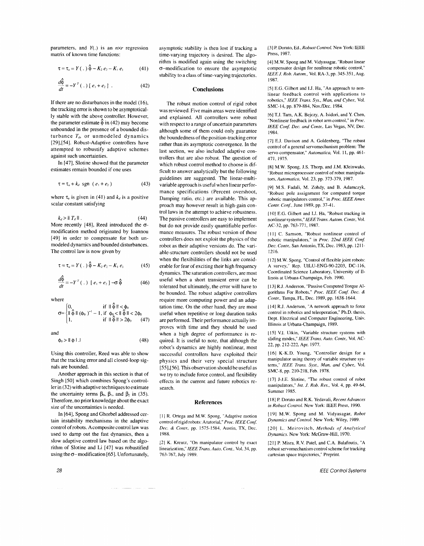parameters, and  $Y(.)$  is an  $n \times r$  regression matrix of known time functions:

$$
\tau = \tau_a = Y(.)\hat{\phi} - K_2 e_2 - K_1 e_1 \qquad (41)
$$
  

$$
\frac{d\hat{\phi}}{dt} = -Y^T(.)\left[e_1 + e_2\right]. \qquad (42)
$$

If there are no disturbances in the model (16), the tracking error is shown to be asymptotically stable with the above controller. However, the parameter estimate  $\hat{\phi}$  in (42) may become unbounded in the presence of a bounded disturbance  $T_d$ , or unmodeled dynamics [29],[54]. Robust-Adaptive controllers have attempted to robustify adaptive schemes against such uncertainties.

In [47], Siotine showed that the parameter estimates remain bounded if one uses

$$
\tau = \tau_a + k_d \text{ sgn } (e_1 + e_2) \tag{43}
$$

where  $\tau_a$  is given in (41) and  $k_d$  is a positive scalar constant satisfying

 $k_d > ||T_d||$ .  $(44)$ More recently [48], Reed introduced the  $\sigma$ modification method originated by Ioannou [49] in order to compensate for both unmodeled dynamics and bounded disturbances. The control law is now given by

$$
\tau = \tau_a = Y(.)\hat{\phi} - K_2 e_2 - K_1 e_1 \qquad (45)
$$
  

$$
\frac{d\hat{\phi}}{dt} = -Y^T(.)\left[e_1 + e_2\right] - \sigma \hat{\phi} \qquad (46)
$$

where

$$
\sigma = \begin{cases} 0, & \text{if } \|\hat{\varphi}\| < \phi_0 \\ \|\hat{\varphi}\| \left(\phi_0\right)^{-1} - 1, & \text{if } \phi_0 < \|\hat{\varphi}\| < 2\phi_0 \\ 1, & \text{if } \|\hat{\varphi}\| > 2\phi_0 \end{cases}
$$
(47)

and

$$
\phi_0 > \mathsf{II} \; \phi \; \mathsf{I} \; . \tag{48}
$$

Using this controller, Reed was able to show that the tracking error and all closed-loop signals are bounded.

Another approach in this section is that of Singh [50] which combines Spong's controller in (32) with adaptive techniques to estimate the uncertainty terms  $\beta_0$ ,  $\beta_1$ , and  $\beta_2$  in (35). Therefore, no prior knowledge about the exact size of the uncertainties is needed.

In [64], Spong and Ghorbel addressed certain instability mechanisms in the adaptive control of robots. A composite control law was used to damp out the fast dynamics, then a slow adaptive control law based on the algorithm of Siotine and Li [47] was robustified using the  $\sigma$ -modification [65]. Unfortunately,

asymptotic stability is then lost if tracking a time-varying trajectory is desired. The algorithm is modified again using the switching  $\sigma$ -modification to ensure the asymptotic stability to a class of time-varying trajectories.

#### **Conclusions**

The robust motion control of rigid robot was reviewed. Five main areas were identified and explained. All controllers were robust with respect to a range of uncertain parameters although some of them could only guarantee the boundedness of the position-tracking error rather than its asymptotic convergence. In the last section, we also included adaptive controllers that are also robust. The question of which robust control method to choose is difficult to answer analytically but the following guidelines are suggested. The linear-multivariable approach is useful when linear performance specifications (Percent overshoot, Damping ratio, etc.) are available. This approach may however result in high-gain control laws in the attempt to achieve robustness. The passive controllers are easy to implement but do not provide easily quantifiable performance measures. The robust version of these controllers does not exploit the physics of the robot as their adaptive versions do. The variable-structure controllers should not be used when the flexibilities of the links are considerable for fear of exciting their high frequency dynamics. The saturation controllers, are most useful when a short transient error can be tolerated but ultimately, the error will have to be bounded. The robust adaptive controllers require more computing power and an adaptation time. On the other hand, they are most useful when repetitive or long duration tasks are performed. Their performance actually improves with time and they should be used when a high degree of performance is required. It is useful to note, that although the robot's dynamics are highly nonlinear, most successful controllers have exploited their physics and their very special structure [55],[56]. This observation should be useful as we try to include force control, and flexibility effects in the current and future robotics research.

#### **References**

[1] R. Ortega and M.W. Spong, "Adaptive motion control of rigid robots: A tutorial," *Proc. IEEE Con! Dec.* & *Contr.,* pp. 1575-1584, Austin, TX, Dec. 1988.

[2] K. Kreutz, "On manipulator control by exact linearization," *IEEE Trans. Auto. Cont.,* Vol. 34, pp. 763-767, July 1989.

[3] P. Dorato, Ed., *Robust Control.* New York: IEEE Press, 1987.

[4] M.W. Spong and M. Vidyasagar, "Robust linear compensator design for nonlinear robotic control," *IEEE* J. *Rob. Autom.,* Vol. RA-3, pp. 345-351, Aug. 1987.

[5] E.G. Gilbert and I.J. Ha, "An approach to nonlinear feedback control with applications to robotics," *IEEE Trans. Sys., Man, and Cyber.,* Vol. SMC-14, pp. 879-884, Nov./Dec. 1984.

[6] T.J. Tarn, A.K. Bejczy, A. Isidori, and Y. Chen, "Nonlinear feedback in robot arm control," in *Proc. IEEE Conf. Dec. and Contr.,* Las Vegas, NV, Dec. 1984.

17] EJ. Davison and A. Goldenberg, "The robust control of a general servomechanism problem: The servo compensator," *Automatica,* Vol. 11, pp. 461- 471,1975.

[8] M.W. Spong, J.S. Thorp, and J.M. Kleinwaks, "Robust microprocessor control of robot manipulators, *Automatica,* Vol. 23, pp. 373-379, 1987.

[9] M.S. Fadali, M. Zohdy, and B. Adamczyk, "Robust pole assignment for computed torque robotic manipulators control," in *Proc. IEEE Amer. Contr. Con!,* June 1989, pp. 37-41.

[10] E.G. Gilbert and I.J. Ha, "Robust tracking in nonlinear systems," *IEEE Trans. Autom. Contr.,* Vol. AC-32, pp. 763-771,1987.

[11] C. Samson, "Robust nonlinear control of robotic manipulators," in *Proc. 22nd IEEE Con! Dec. Contr.,* San Antonio, TX, Dec. 1983, pp. 1211- 1216.

[121 M.W. Spong, "Control of flexible joint robots: A survey," Rep. UILU-ENG-90-2203, DC-1l6, Coordinated Science Laboratory, University of Illinois at Urbana-Champaign, Feb. 1990.

[13] R.J. Anderson, "Passive Computed Torque Algorithms For Robots," *Proc. IEEE Con! Dec.* & *Contr.,* Tampa, FL, Dec. 1989, pp. 1638-1644.

[14] R.J. Anderson, "A network approach to force control in robotics and teleoperation," Ph.D. thesis, Dept. Electrical and Computer Engineering, Univ. Illinois at Urbana-Champaign, 1989,

[15] V.I. Utkin, "Variable structure systems with sliding modes," *IEEE Trans. Auto. Contr.,* Vol. AC-22, pp. 212-222, Apr. 1977.

116] K-K.D. Young, "Controller design for a manipulator using theory of variable structure systems," *IEEE Trans. Syst., Man, and Cyber.,* Vol. SMC-8, pp. 210-218, Feb. 1978.

[17] J-J.E. Siotine, "The robust control of robot manipulators," *Int.* J. *Rob. Res.,* Vol. 4, pp. 49-64, Summer 1985.

[18] P. Dorato and R.K. Yedavali, *Recent Advances in Robust Control.* New York: IEEE Press, 1990.

[19] M.W. Spong and M. Vidyasagar, *Robot Dynamics and Control.* New York: Wiley, 1989.

[20] L. Meirovitch, *Methods of Analytical Dynamics.* New York: McGraw-Hill, 1970.

[21] P. Misra, R.V. Patel, and C.A. Balafoutis, "A robust servomechanism control scheme for tracking cartesian space trajectories," Preprint.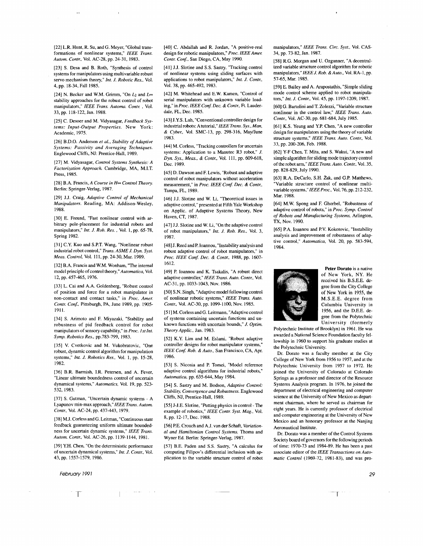[22] L.R. Hunt, R. Su, and G. Meyer, "Global transformations of nonlinear systems," *IEEE Trans. Autom. Contr.,* Vol. AC-28, pp. 24-31,1983.

[23] S. Desa and B. Roth, "Synthesis of control systems for manipulators using multivariable robust servo mechanism theory," *Int.* J. *Robotic Res.,* Vol. 4, pp. 18-34, Fall 1985.

[24] N. Becker and W.M. Grimm, "On *L2* and Loo stability approaches for the robust control of robot manipulators," *IEEE Trans. Automa. Contr.* . Vol. 33, pp. 118-122, Jan. 1988.

[25] C. Desoer and M. Vidyasagar, *Feedback Systems: Input-Output Properties.* New York: Academic, 1975.

[26) B.D.O. Anderson *et ai., Stability of Adaptive Systems: Passivity and Averaging Techniques.*  Englewood Cliffs, NJ: Prentice-Hall, 1989.

[27) M. Vidyasagar, *Control Systems Synthesis: A Factorization Approach.* Cambridge, MA, M.I.T. Press, 1985.

[28) B.A. Francis, *A Course in Hoo Control Theory.*  Berlin: Springer-Verlag, 1987.

[29] J.J. Craig, *Adaptive Control of Mechanical Manipulators.* Reading, MA: Addison-Wesley, 1988.

[30) E. Freund, "Fast nonlinear control with arbitrary pole-placement for industrial robots and manipulators," *Int.* J. *Rob. Res .* . Vol. I. pp. 65-78, Spring 1982.

[31] C.Y. Kuo and S.P.T. Wang, "Nonlinear robust industrial robot control," *Trans. ASME* J. *Dyn. Syst. Meas. Control.* Vol. Ill, pp. 24-30, Mar. 1989.

[32) B.A. Francis and W.M. Wonham, "The internal model principle of control theory," *Automatica.* Vol. 12, pp. 457-465, 1976.

[33) L. Cai and A.A. Goldenberg, "Robust control of position and force for a robot manipulator in non-contact and contact tasks," in *Proc. Amer. Contr. Conj.* Pittsburgh, PA, June 1989, pp. 1905- 1911.

[34] S. Arimoto and F. Miyazaki, "Stability and robustness of pid feedback control for robot manipulators of sensory capability," in *Proc. 1st Int. Symp. Robotics Res ..* pp.783-799, 1983.

[35] V. Cvetkovic and M. Vukobratovic, "One robust, dynamic control algorithm for manipulation systems," *Int.* J. *Robotics Res.,* Vol. 1, pp. 15-28, 1982.

[36] B.R. Barmish, I.R. Petersen, and A. Fever, "Linear ultimate boundedness control of uncertain dynamical systems," *Automatics.* Vol. 19, pp. 523- 532, 1983.

[37] S. Gutman, "Uncertain dynamic systems - A Lyapunov min-max approach," *IEEE Trans. Autom. Contr..* Vol. AC-24, pp. 437-443, 1979.

[38) MJ. Corless and G. Leitman, "Continuous state feedback guaranteeing uniform ultimate boundedness for uncertain dynamic systems," *IEEE Trans. Autom. Contr..* Vol. AC-26. pp. 1139-1144, 1981.

[39] Y.H. Chen, "On the deterministic performance of uncertain dynamical systems," *Int.* J. *Contr.,* Vol. 43, pp. 1557-1579, 1986.

February 1991

[40] C. Abdallah and R. Jordan, "A positive-real design for robotic manipulators," *Proc. IEEE Amer. Contr. Conj,* San Diego, CA, May 1990.

[41] J.J. Slotine and S.S. Sastry, "Tracking control of nonlinear systems using sliding surfaces with applications to robot manipulators," *Int.* J. *Contr..*  Vol. 38, pp. 465-492, 1983.

[42] M. Whitehead and E.W. Kamen, "Control of serial manipulators with unknown variable loading," in *Proc. IEEE Conj Dec.* & *Contr.,* Ft. Lauderdale, FL, Dec. 1985.

[43) J.Y.S. Luh, "Conventional controller design for industrial robots: A tutorial," *IEEE Trans. Sys .. Man.*  & *Cyber..* Vol. SMC-13, pp. 298-316, May/June 1983.

[44] M. Corless, "Tracking controllers for uncertain systems: Application to a Manutec R3 robot," J. *Dyn. Sys .• Meas.,* & *Contr..* Vol. III, pp. 609-618, Dec. 1989.

[45] D. Dawson and F. Lewis, "Robust and adaptive control of robot manipulators without acceleration measurement," in *Proc. IEEE Conf. Dec.* & *Contr.,*  Tampa, FL, 1989.

[46] JJ. Siotine and W. Li, "Theoretical issues in adaptive control," presented at Fifth Yale Workshop on Applic. of Adaptive Systems Theory, New Haven, CT, 1987.

[47] JJ. Siotine and W. Li, "On the adaptive control of robot manipulators," *Int.* J. *Rob. Res ..* Vol. 3, 1987.

[48)J. Reed and P. Ioannou, "Instability analysis and robust adaptive control of robot manipulators," in *Proc. IEEE Conf. Dec.* & *Contr..* 1988, pp. 1607- 1612.

[49) P. Ioannou and K. Tsakalis, "A robust direct adaptive controller," *IEEE Trans. Auto. Contr..* Vol. AC-31, pp. 1033-1043, Nov. 1986.

[50) S.N. Singh, "Adaptive model following control of nonlinear robotic systems," *IEEE Trans. Auto. Contr.,* Vol. AC-30, pp. 1099-1100, Nov. 1985.

[51) M. Corless and G. Leitmann, "Adapti ve control of systems containing uncertain functions and unknown functions with uncertain bounds," J. *Optim. Theory Applic.,* Jan. 1983.

[52) K.Y. Lim and M. Eslami, "Robust adaptive controller designs for robot manipulator systems," *IEEE Conf. Rob.* & *Auto.,* San Francisco, CA, Apr. 1986.

[53] S. Nicosia and P. Tomei, "Model reference adaptive control algorithms for industrial robots," *Automatica,* pp. 635-644, May 1984.

[54) S. Sastry and M. Bodson, *Adaptive Control: Stability. Convergence and Robustness.* Englewood Cliffs, NJ, Prentice-Hall, 1989.

[55] J-J.E. Siotine, "Putting physics in control- The example of robotics," *IEEE Contr. Syst. Mag.,* Vol. 8, pp. 12-17, Dec. 1988.

[56) P.E. Crouch and AJ. van der Schaft, *Variational and Hamiltonian Control Systems.* Thoma and Wyner Ed. Berlin: Springer-Verlag, 1987.

[57] B.E. Paden and S.S. Sastry, "A calculus for computing Filipov's differential inclusion with application to the variable structure control of robot manipulators," IEEE Trans. Circ. Syst., Vol. CAS-34, pp. 73-82, Jan. 1987.

[58] R.G. Morgan and U. Ozgunner, "A decentralized variable structure control algorithm for robotic manipulators," *IEEE* J. *Rob.* & *Auto .•* Vol. RA-I, pp. 57-65, Mar. 1985.

[59] E. Bailey and A. Arapostathis, "Simple sliding mode control scheme applied to robot manipulators," *Int.* J. *Contr.,* Vol. 45, pp. ll97-1209, 1987.

[60] G. Bartolini and T. Zolezzi, "Variable structure nonlinear in the control law," *IEEE Trans. Auto. Contr..* Vol. AC-30, pp. 681-684, July 1985.

[61) K.S. Yeung and Y.P. Chen, "A new controller design for manipulators using the theory of variable structure systems," *IEEE Trans. Auto. Contr..* Vol. 33, pp. 200-206, Feb. 1988.

[62] Y-F Chen, T. Mita, and S. Wakui, "A new and simple algorithm for sliding mode trajectory control of the robot arm," *IEEE Trans. Auto. Contr..* Vol. 35, pp. 828-829, July 1990.

[63] R.A. DeCarlo, S.H. Żak, and G.P. Matthews, "Variable structure control of nonlinear multivariable systems," *IEEE Proc..* Vol. 76, pp. 212-232, Mar. 1988.

[64) M.W. Spong and F. Ghorbel, "Robustness of adaptive control of robots," in *Proc. Symp. Control of Robots and Manufacturing Systems.* Arlington, TX, Nov. 1990.

[65) P.A. Ioannou and P.V. Kokotovic, "Instability analysis and improvement of robustaness of adaptive control," *Automatica.* Vol. 20, pp. 583-594, 1984.



**Peter Dorato** is a native of New York, NY. He received his B.S.E.E. degree from the City College of New York in 1955, the M.S.E.E. degree from Columbia University in 1956, and the D.E.E. degree from the Polytechnic University (formerly

Polytechnic Institute of Brooklyn) in 1961. He was awarded a National Science Foundation faculty fellowship in 1960 to support his graduate studies at the Polytechnic University.

Dr. Dorato was a faculty member at the City College of New York from 1956 to 1957, and at the Polytechnic University from 1957 to 1972. He joined the University of Colorado at Colorado Springs as a professor and director of the Resource Systems Analysis program. In 1976, he joined the department of electrical engineering and computer science at the University of New Mexico as department chairman, where he served as chairman for eight years. He is currently professor of electrical and computer engineering at the University of New Mexico and an honorary professor at the Nanjing Aeronautical Institute.

Dr. Dorato was a member of the Control Systems Society board of governors for the following periods of time: 1970-73 and 1984-89. He has been a past associate editor of the *IEEE Transactions on Automatic Control* (1969-72, 1981-83), and was pro-

29

T

-r